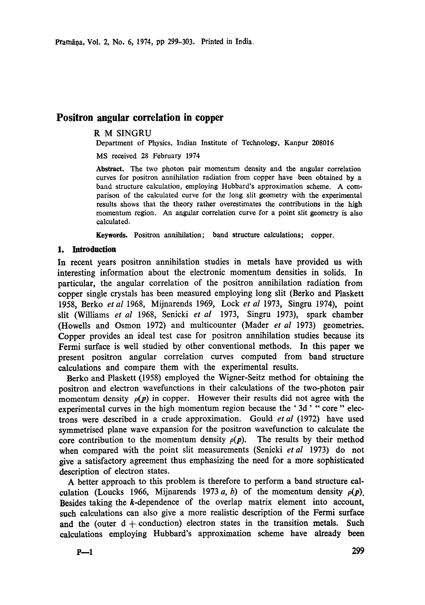# **Positron angular correlation in copper**

# R M SINGRU

Department of Physics, Indian Institute of Technology, Kanpur 208016

MS received 28 February 1974

**Abstract.** The two photon pair momentum density and the angular correlation curves for positron annihilation radiation from copper have been obtained by a band structure calculation, employing Hubbard's approximation scheme. A comparison of the calculated curve for the long slit geometry with the experimental results shows that the theory rather overestimates the contributions in the high momentum region. An angular correlation curve for a point slit geometry is also calculated.

Keywords. Positron annihilation; band structure calculations; copper.

### **1. Introduction**

In recent years positron annihilation studies in metals have provided us with interesting information about the electronic momentum densities in solids. In particular, the angular correlation of the positron annihilation radiation from copper single crystals has been measured employing long slit (Berko and Plaskett 1958, Berko *et al* 1968, Mijnarends 1969, Lock *et al* 1973, Singru 1974), point slit (Williams *et al* 1968, Senicki *et al* 1973, Singru 1973), spark chamber (Howells and Osmon 1972) and multicounter (Mader *et al* 1973) geometries. Copper provides an ideal test case for positron annihilation studies because its Fermi surface is well studied by other conventional methods. In this paper we present positron angular correlation curves computed from band structure calculations and compare them with the experimental results.

Berko and Plaskett (1958) employed the Wigner-Seitz method for obtaining the positron and electron wavefunctions in their calculations of the two-photon pair momentum density  $\rho(p)$  in copper. However their results did not agree with the experimental curves in the high momentum region because the '3d' "core" electrons were described in a crude approximation. Gould *et al* (1972) have used symmetrised plane wave expansion for the positron wavefunction to calculate the core contribution to the momentum density  $\rho(p)$ . The results by their method when compared with the point slit measurements (Senicki *et al* 1973) do not give a satisfactory agreement thus emphasizing the need for a more sophisticated description of electron states.

A better approach to this problem is therefore to perform a band structure calculation (Loucks 1966, Mijnarends 1973 a, b) of the momentum density  $\rho(\mathbf{p})$ . Besides taking the k-dependence of the overlap matrix element into account, such calculations can also give a more realistic description of the Fermi surface and the (outer  $d +$  conduction) electron states in the transition metals. Such calculations employing Hubbard's approximation scheme have already been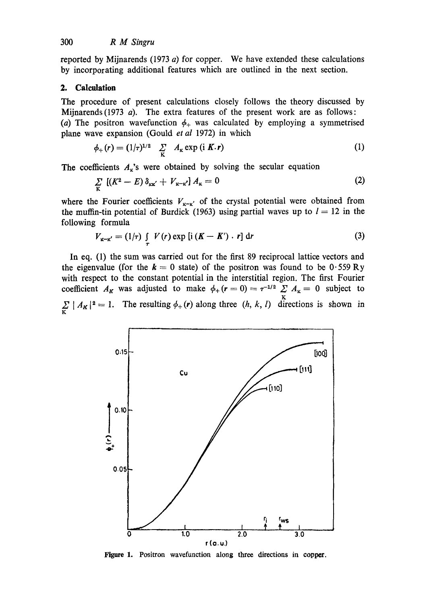reported by Mijnarends (1973  $a$ ) for copper. We have extended these calculations by incorporating additional features which are outlined in the next section.

### **2. Calculation**

The procedure of present calculations closely follows the theory discussed by Mijnarends (1973  $a$ ). The extra features of the present work are as follows: (a) The positron wavefunction  $\phi_+$  was calculated by employing a symmetrised plane wave expansion (Gould *et al* 1972) in which

$$
\phi_+(r) = (1/\tau)^{1/2} \sum_{\mathbf{K}} A_{\mathbf{K}} \exp\left(i \mathbf{K}.\mathbf{r}\right) \tag{1}
$$

The coefficients  $A_k$ 's were obtained by solving the secular equation

$$
\sum_{\mathbf{K}} \left[ (K^2 - E) \, \delta_{\mathbf{K} \mathbf{K}'} + V_{\mathbf{K} - \mathbf{K}'} \right] A_{\mathbf{K}} = 0 \tag{2}
$$

where the Fourier coefficients  $V_{\mathbf{x}-\mathbf{x}'}$  of the crystal potential were obtained from the muffin-tin potential of Burdick (1963) using partial waves up to  $l = 12$  in the following formula

$$
V_{\kappa-\kappa'} = (1/\tau) \int\limits_{\tau} V(r) \exp\left[i\left(K - K'\right) \cdot r\right] dr \tag{3}
$$

In eq. (1) the sum was carried out for the first 89 reciprocal lattice vectors and the eigenvalue (for the  $k = 0$  state) of the positron was found to be  $0.559 \text{ Ry}$ with respect to the constant potential in the interstitial region. The first Fourier coefficient  $A_K$  was adjusted to make  $\phi_+(r=0) = \tau^{-1/2} \sum A_K = 0$  subject to  $\sum_{\mathbf{K}} |A_{\mathbf{K}}|^2 = 1$ . The resulting  $\phi_+(\mathbf{r})$  along three  $(h, k, l)$  directions is shown in



**Figure 1.** Positron wavefunction along three directions in copper.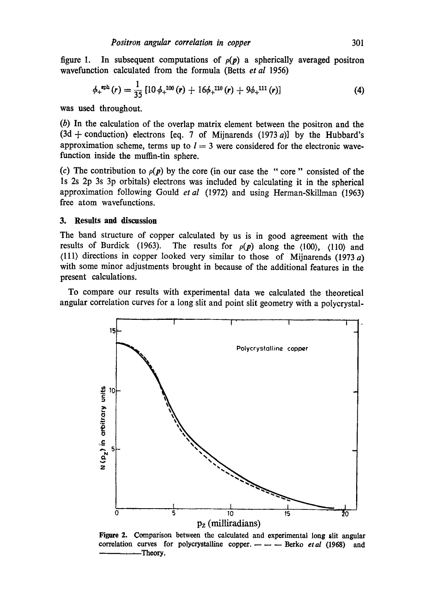figure 1. In subsequent computations of  $\rho(p)$  a spherically averaged positron wavefunction calculated from the formula (Betts *et al* 1956)

$$
\phi_{+}^{\text{sph}}(r) = \frac{1}{35} \left[ 10 \phi_{+}^{100}(r) + 16 \phi_{+}^{110}(r) + 9 \phi_{+}^{111}(r) \right] \tag{4}
$$

was used throughout.

(b) In the calculation of the overlap matrix element between the positron and the  $(3d +$  conduction) electrons [eq. 7 of Mijnarends  $(1973 a)$ ] by the Hubbard's approximation scheme, terms up to  $l = 3$  were considered for the electronic wavefunction inside the muffin-tin sphere.

(c) The contribution to  $\rho(p)$  by the core (in our case the "core" consisted of the ls 2s 2p 3s 3p orbitals) electrons was included by calculating it in the spherical approximation following Gould *et al* (1972) and using Herman-Skillman (1963) free atom wavefunctions.

## **3. Results and discussion**

The band structure of copper calculated by us is in good agreement with the results of Burdick (1963). The results for  $\rho(p)$  along the  $\langle 100 \rangle$ ,  $\langle 110 \rangle$  and (111) directions in copper looked very similar to those of Mijnarends (1973 a) with some minor adjustments brought in because of the additional features in the present calculations.

To compare our results with experimental data we calculated the theoretical angular correlation curves for a long slit and point slit geometry with a polycrystal-



Figure 2. Comparison between the calculated and experimental long slit angular correlation curves for polycrystalline copper.---- Berko et al (1968) and -Theory.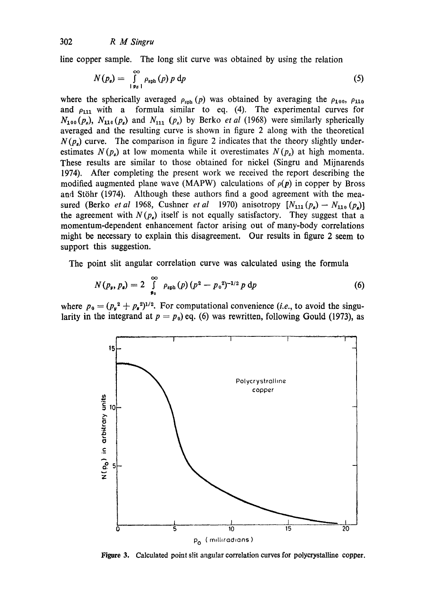line copper sample. The long slit curve was obtained by using the relation

$$
N(p_s) = \int_{\vert p_{s}\vert}^{\infty} \rho_{\rm sph}(p) \, p \, \mathrm{d}p \tag{5}
$$

where the spherically averaged  $\rho_{\rm sph}(p)$  was obtained by averaging the  $\rho_{100}$ ,  $\rho_{110}$ and  $\rho_{111}$  with a formula similar to eq. (4). The experimental curves for  $N_{100}(p_z)$ ,  $N_{110}(p_z)$  and  $N_{111}(p_z)$  by Berko *et al* (1968) were similarly spherically averaged and the resulting curve is shown in figure 2 along with the theoretical  $N(p<sub>s</sub>)$  curve. The comparison in figure 2 indicates that the theory slightly underestimates  $N(p<sub>s</sub>)$  at low momenta while it overestimates  $N(p<sub>s</sub>)$  at high momenta. These results are similar to those obtained for nickel (Singru and Mijnarends 1974). After completing the present work we received the report describing the modified augmented plane wave (MAPW) calculations of  $\rho(p)$  in copper by Bross and Stöhr (1974). Although these authors find a good agreement with the measured (Berko *et al* 1968, Cushner *et al* 1970) anisotropy  $[N_{111}(p_s) - N_{110}(p_s)]$ the agreement with  $N(p<sub>e</sub>)$  itself is not equally satisfactory. They suggest that a momentum-dependent enhancement factor arising out of many-body correlations might be necessary to explain this disagreement. Our results in figure 2 seem to support this suggestion.

The point slit angular correlation curve was calculated using the formula

$$
N(p_y, p_s) = 2 \int_{p_0}^{\infty} \rho_{sph}(p) (p^2 - p_0^2)^{-1/2} p dp
$$
 (6)

where  $p_0 = (p_y^2 + p_z^2)^{1/2}$ . For computational convenience *(i.e.,* to avoid the singularity in the integrand at  $p = p_0$ ) eq. (6) was rewritten, following Gould (1973), as



Figure 3. Calculated point slit angular correlation curves for polyerystalline copper.